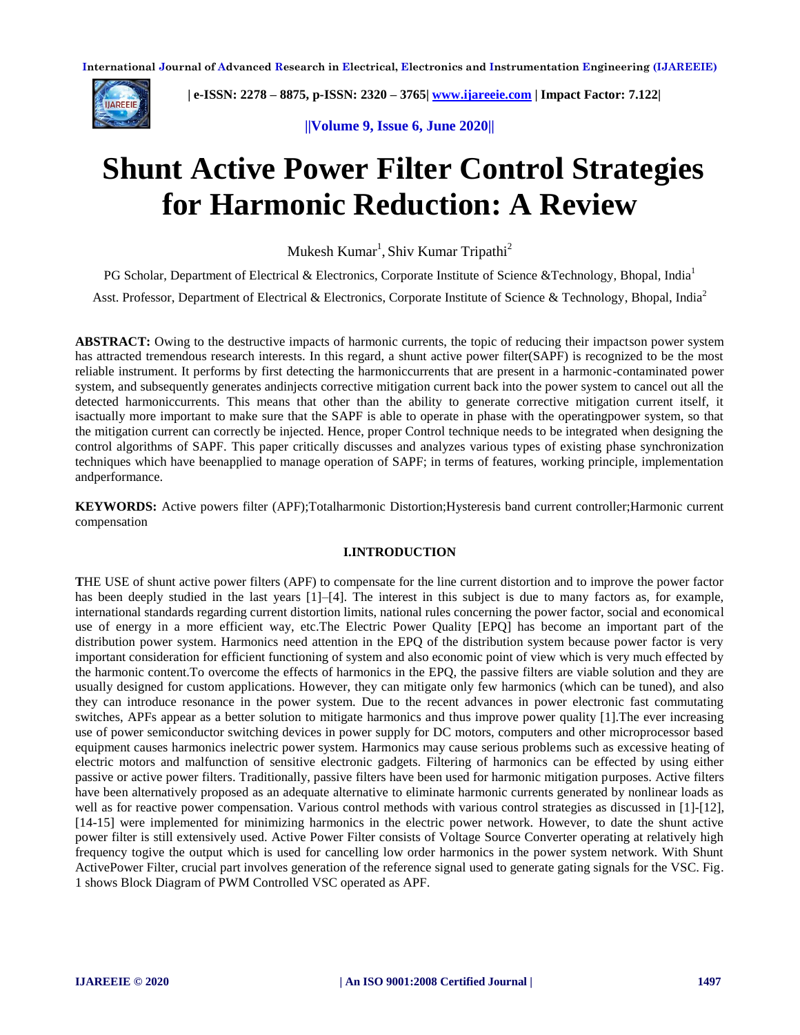

 **| e-ISSN: 2278 – 8875, p-ISSN: 2320 – 3765| [www.ijareeie.com](http://www.ijareeie.com/) | Impact Factor: 7.122|** 

**||Volume 9, Issue 6, June 2020||**

# **Shunt Active Power Filter Control Strategies for Harmonic Reduction: A Review**

Mukesh  $Kumar<sup>1</sup>$ , Shiv Kumar Tripathi<sup>2</sup>

PG Scholar, Department of Electrical & Electronics, Corporate Institute of Science &Technology, Bhopal, India<sup>1</sup>

Asst. Professor, Department of Electrical & Electronics, Corporate Institute of Science & Technology, Bhopal, India<sup>2</sup>

**ABSTRACT:** Owing to the destructive impacts of harmonic currents, the topic of reducing their impactson power system has attracted tremendous research interests. In this regard, a shunt active power filter(SAPF) is recognized to be the most reliable instrument. It performs by first detecting the harmoniccurrents that are present in a harmonic-contaminated power system, and subsequently generates andinjects corrective mitigation current back into the power system to cancel out all the detected harmoniccurrents. This means that other than the ability to generate corrective mitigation current itself, it isactually more important to make sure that the SAPF is able to operate in phase with the operatingpower system, so that the mitigation current can correctly be injected. Hence, proper Control technique needs to be integrated when designing the control algorithms of SAPF. This paper critically discusses and analyzes various types of existing phase synchronization techniques which have beenapplied to manage operation of SAPF; in terms of features, working principle, implementation andperformance.

**KEYWORDS:** Active powers filter (APF);Totalharmonic Distortion;Hysteresis band current controller;Harmonic current compensation

# **I.INTRODUCTION**

**T**HE USE of shunt active power filters (APF) to compensate for the line current distortion and to improve the power factor has been deeply studied in the last years [1]–[4]. The interest in this subject is due to many factors as, for example, international standards regarding current distortion limits, national rules concerning the power factor, social and economical use of energy in a more efficient way, etc.The Electric Power Quality [EPQ] has become an important part of the distribution power system. Harmonics need attention in the EPQ of the distribution system because power factor is very important consideration for efficient functioning of system and also economic point of view which is very much effected by the harmonic content.To overcome the effects of harmonics in the EPQ, the passive filters are viable solution and they are usually designed for custom applications. However, they can mitigate only few harmonics (which can be tuned), and also they can introduce resonance in the power system. Due to the recent advances in power electronic fast commutating switches, APFs appear as a better solution to mitigate harmonics and thus improve power quality [1].The ever increasing use of power semiconductor switching devices in power supply for DC motors, computers and other microprocessor based equipment causes harmonics inelectric power system. Harmonics may cause serious problems such as excessive heating of electric motors and malfunction of sensitive electronic gadgets. Filtering of harmonics can be effected by using either passive or active power filters. Traditionally, passive filters have been used for harmonic mitigation purposes. Active filters have been alternatively proposed as an adequate alternative to eliminate harmonic currents generated by nonlinear loads as well as for reactive power compensation. Various control methods with various control strategies as discussed in [1]-[12], [14-15] were implemented for minimizing harmonics in the electric power network. However, to date the shunt active power filter is still extensively used. Active Power Filter consists of Voltage Source Converter operating at relatively high frequency togive the output which is used for cancelling low order harmonics in the power system network. With Shunt ActivePower Filter, crucial part involves generation of the reference signal used to generate gating signals for the VSC. Fig. 1 shows Block Diagram of PWM Controlled VSC operated as APF.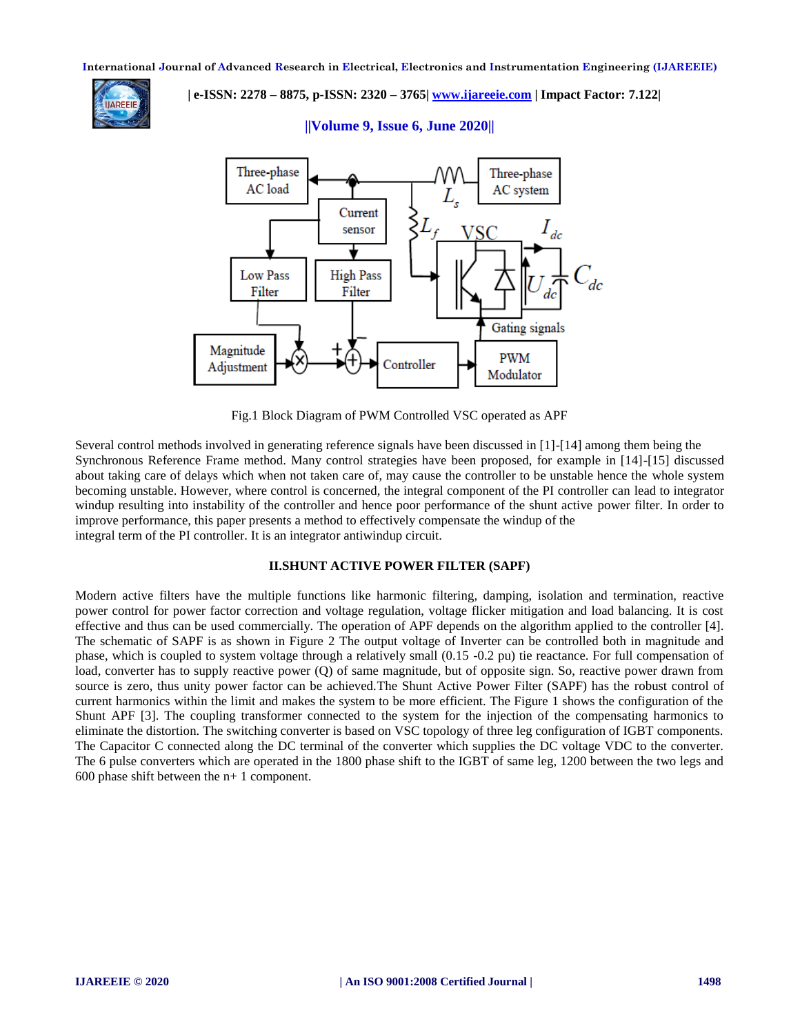

 **| e-ISSN: 2278 – 8875, p-ISSN: 2320 – 3765| [www.ijareeie.com](http://www.ijareeie.com/) | Impact Factor: 7.122|** 



# **||Volume 9, Issue 6, June 2020||**

Fig.1 Block Diagram of PWM Controlled VSC operated as APF

Several control methods involved in generating reference signals have been discussed in [1]-[14] among them being the Synchronous Reference Frame method. Many control strategies have been proposed, for example in [14]-[15] discussed about taking care of delays which when not taken care of, may cause the controller to be unstable hence the whole system becoming unstable. However, where control is concerned, the integral component of the PI controller can lead to integrator windup resulting into instability of the controller and hence poor performance of the shunt active power filter. In order to improve performance, this paper presents a method to effectively compensate the windup of the integral term of the PI controller. It is an integrator antiwindup circuit.

## **II.SHUNT ACTIVE POWER FILTER (SAPF)**

Modern active filters have the multiple functions like harmonic filtering, damping, isolation and termination, reactive power control for power factor correction and voltage regulation, voltage flicker mitigation and load balancing. It is cost effective and thus can be used commercially. The operation of APF depends on the algorithm applied to the controller [4]. The schematic of SAPF is as shown in Figure 2 The output voltage of Inverter can be controlled both in magnitude and phase, which is coupled to system voltage through a relatively small (0.15 -0.2 pu) tie reactance. For full compensation of load, converter has to supply reactive power (Q) of same magnitude, but of opposite sign. So, reactive power drawn from source is zero, thus unity power factor can be achieved. The Shunt Active Power Filter (SAPF) has the robust control of current harmonics within the limit and makes the system to be more efficient. The Figure 1 shows the configuration of the Shunt APF [3]. The coupling transformer connected to the system for the injection of the compensating harmonics to eliminate the distortion. The switching converter is based on VSC topology of three leg configuration of IGBT components. The Capacitor C connected along the DC terminal of the converter which supplies the DC voltage VDC to the converter. The 6 pulse converters which are operated in the 1800 phase shift to the IGBT of same leg, 1200 between the two legs and 600 phase shift between the n+ 1 component.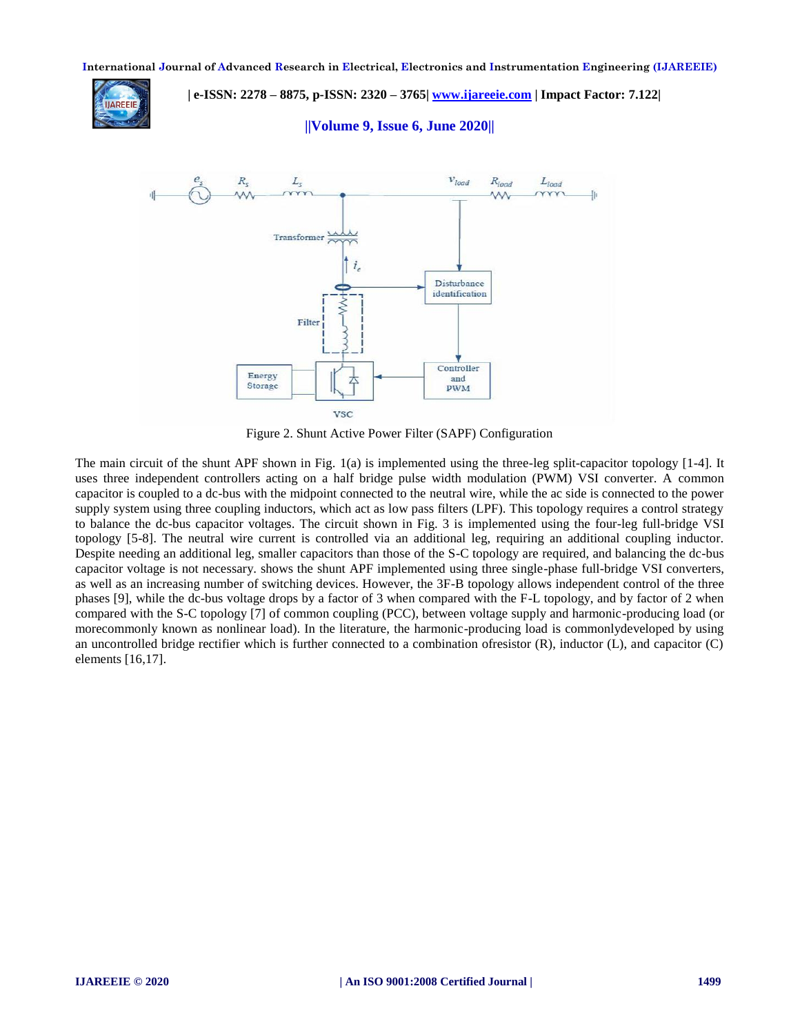

 **| e-ISSN: 2278 – 8875, p-ISSN: 2320 – 3765| [www.ijareeie.com](http://www.ijareeie.com/) | Impact Factor: 7.122|** 

**||Volume 9, Issue 6, June 2020||**



Figure 2. Shunt Active Power Filter (SAPF) Configuration

The main circuit of the shunt APF shown in Fig. 1(a) is implemented using the three-leg split-capacitor topology [1-4]. It uses three independent controllers acting on a half bridge pulse width modulation (PWM) VSI converter. A common capacitor is coupled to a dc-bus with the midpoint connected to the neutral wire, while the ac side is connected to the power supply system using three coupling inductors, which act as low pass filters (LPF). This topology requires a control strategy to balance the dc-bus capacitor voltages. The circuit shown in Fig. 3 is implemented using the four-leg full-bridge VSI topology [5-8]. The neutral wire current is controlled via an additional leg, requiring an additional coupling inductor. Despite needing an additional leg, smaller capacitors than those of the S-C topology are required, and balancing the dc-bus capacitor voltage is not necessary. shows the shunt APF implemented using three single-phase full-bridge VSI converters, as well as an increasing number of switching devices. However, the 3F-B topology allows independent control of the three phases [9], while the dc-bus voltage drops by a factor of 3 when compared with the F-L topology, and by factor of 2 when compared with the S-C topology [7] of common coupling (PCC), between voltage supply and harmonic-producing load (or morecommonly known as nonlinear load). In the literature, the harmonic-producing load is commonlydeveloped by using an uncontrolled bridge rectifier which is further connected to a combination of resistor  $(R)$ , inductor  $(L)$ , and capacitor  $(C)$ elements [16,17].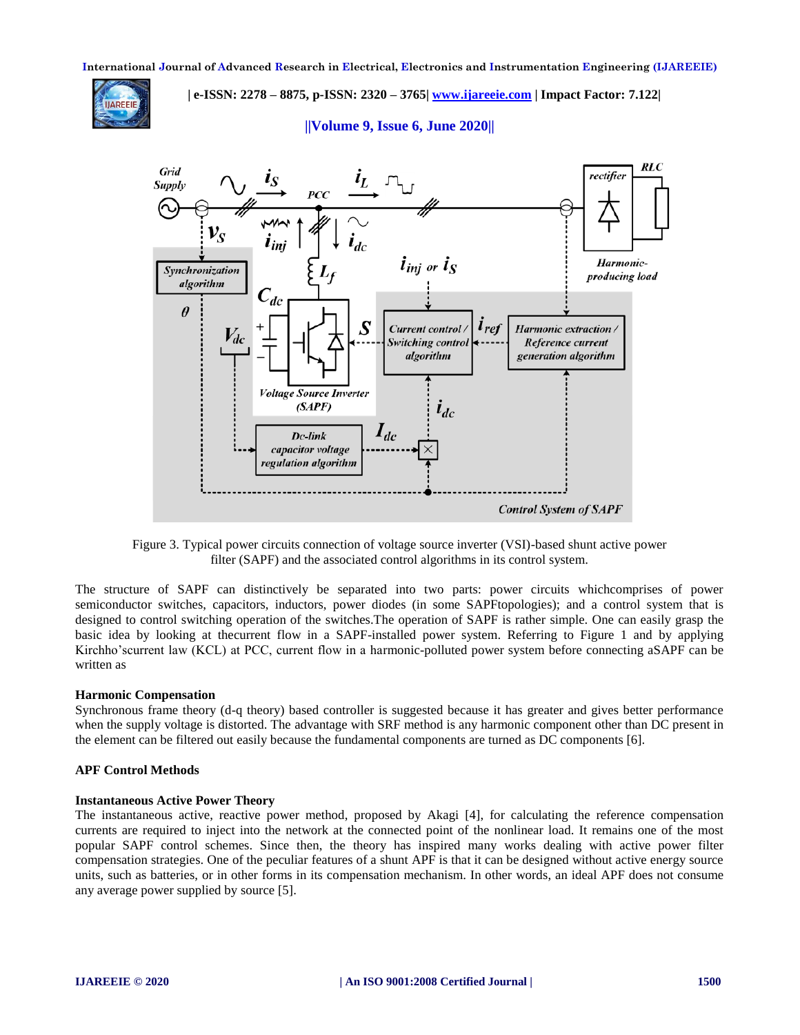

 **| e-ISSN: 2278 – 8875, p-ISSN: 2320 – 3765| [www.ijareeie.com](http://www.ijareeie.com/) | Impact Factor: 7.122|** 

# **||Volume 9, Issue 6, June 2020||**



Figure 3. Typical power circuits connection of voltage source inverter (VSI)-based shunt active power filter (SAPF) and the associated control algorithms in its control system.

The structure of SAPF can distinctively be separated into two parts: power circuits whichcomprises of power semiconductor switches, capacitors, inductors, power diodes (in some SAPFtopologies); and a control system that is designed to control switching operation of the switches.The operation of SAPF is rather simple. One can easily grasp the basic idea by looking at thecurrent flow in a SAPF-installed power system. Referring to Figure 1 and by applying Kirchho'scurrent law (KCL) at PCC, current flow in a harmonic-polluted power system before connecting aSAPF can be written as

#### **Harmonic Compensation**

Synchronous frame theory (d-q theory) based controller is suggested because it has greater and gives better performance when the supply voltage is distorted. The advantage with SRF method is any harmonic component other than DC present in the element can be filtered out easily because the fundamental components are turned as DC components [6].

## **APF Control Methods**

#### **Instantaneous Active Power Theory**

The instantaneous active, reactive power method, proposed by Akagi [4], for calculating the reference compensation currents are required to inject into the network at the connected point of the nonlinear load. It remains one of the most popular SAPF control schemes. Since then, the theory has inspired many works dealing with active power filter compensation strategies. One of the peculiar features of a shunt APF is that it can be designed without active energy source units, such as batteries, or in other forms in its compensation mechanism. In other words, an ideal APF does not consume any average power supplied by source [5].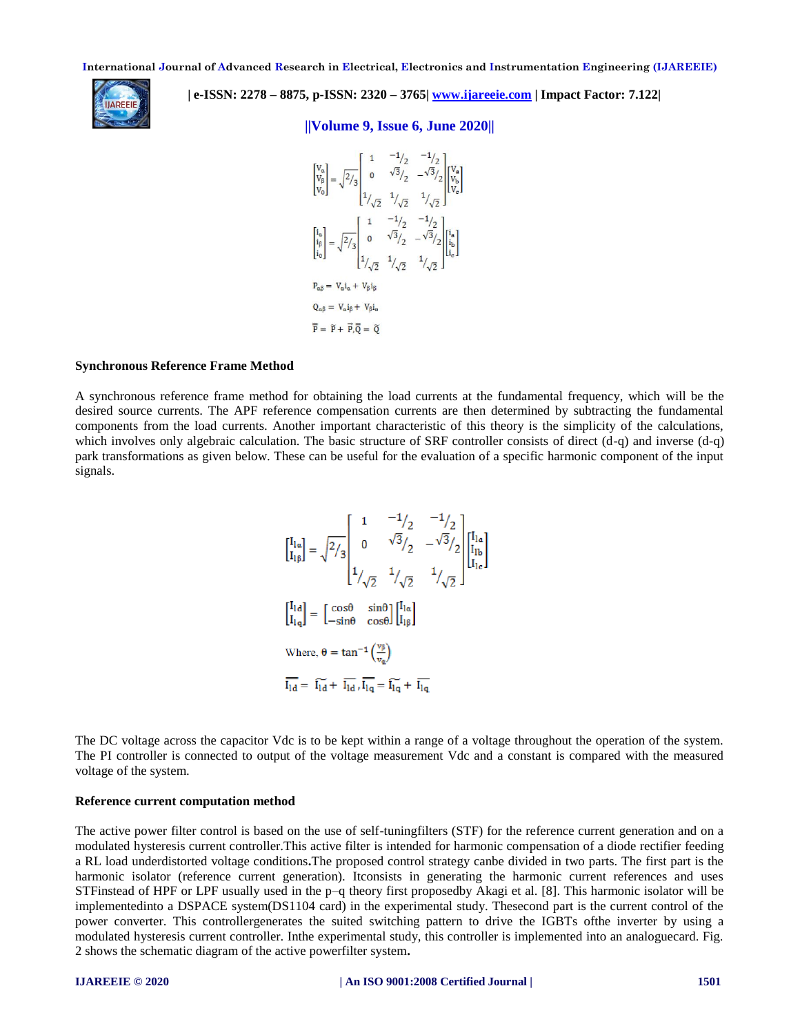

 **| e-ISSN: 2278 – 8875, p-ISSN: 2320 – 3765| [www.ijareeie.com](http://www.ijareeie.com/) | Impact Factor: 7.122|** 

# **||Volume 9, Issue 6, June 2020||**

$$
\begin{bmatrix} v_a \\ v_b \\ v_0 \end{bmatrix} = \sqrt{2}/3 \begin{bmatrix} 1 & -1/2 & -1/2 \\ 0 & \sqrt{3}/2 & -\sqrt{3}/2 \\ 1/(\sqrt{2} & 1/\sqrt{2} & 1/\sqrt{2} \\ 1/(\sqrt{2} & 1/\sqrt{2} & -\sqrt{2}/2 \\ 1/(\sqrt{2} & 1/\sqrt{2}) & -\sqrt{2}/2 \\ 1/(\sqrt{2} & 1/\sqrt{2} & -\sqrt{3}/2 \\ 1/(\sqrt{2} & 1/\sqrt{2} & 1/\sqrt{2} \end{bmatrix} \begin{bmatrix} i_a \\ i_b \\ i_b \end{bmatrix}
$$
  
\n
$$
P_{\alpha\beta} = V_{\alpha}i_{\alpha} + V_{\beta}i_{\alpha}
$$
  
\n
$$
\overline{P} = \overline{P} + \overline{P}, \overline{Q} = \overline{Q}
$$

## **Synchronous Reference Frame Method**

A synchronous reference frame method for obtaining the load currents at the fundamental frequency, which will be the desired source currents. The APF reference compensation currents are then determined by subtracting the fundamental components from the load currents. Another important characteristic of this theory is the simplicity of the calculations, which involves only algebraic calculation. The basic structure of SRF controller consists of direct (d-q) and inverse (d-q) park transformations as given below. These can be useful for the evaluation of a specific harmonic component of the input signals.

$$
\begin{bmatrix} I_{1\alpha} \\ I_{1\beta} \end{bmatrix} = \sqrt{2/3} \begin{bmatrix} 1 & -1/2 & -1/2 \\ 0 & \sqrt{3}/2 & -\sqrt{3}/2 \\ 1 & 1/2 & 1/2 \\ 1/2 & 1/2 & 1/2 \end{bmatrix} \begin{bmatrix} I_{1\alpha} \\ I_{1\alpha} \end{bmatrix}
$$
  
\n
$$
\begin{bmatrix} I_{1\alpha} \\ I_{1\alpha} \end{bmatrix} = \begin{bmatrix} \cos\theta & \sin\theta \\ -\sin\theta & \cos\theta \end{bmatrix} \begin{bmatrix} I_{1\alpha} \\ I_{1\beta} \end{bmatrix}
$$
  
\nWhere,  $\theta = \tan^{-1} \begin{bmatrix} \frac{\sqrt{9}}{1} \\ \frac{\sqrt{9}}{1} \end{bmatrix}$   
\n
$$
\overline{I_{1\alpha}} = \overline{I_{1\alpha}} + \overline{I_{1\alpha}}, \overline{I_{1\alpha}} = \overline{I_{1\alpha}} + \overline{I_{1\alpha}}
$$

The DC voltage across the capacitor Vdc is to be kept within a range of a voltage throughout the operation of the system. The PI controller is connected to output of the voltage measurement Vdc and a constant is compared with the measured voltage of the system.

## **Reference current computation method**

The active power filter control is based on the use of self-tuningfilters (STF) for the reference current generation and on a modulated hysteresis current controller.This active filter is intended for harmonic compensation of a diode rectifier feeding a RL load underdistorted voltage conditions**.**The proposed control strategy canbe divided in two parts. The first part is the harmonic isolator (reference current generation). Itconsists in generating the harmonic current references and uses STFinstead of HPF or LPF usually used in the p–q theory first proposedby Akagi et al. [8]. This harmonic isolator will be implementedinto a DSPACE system(DS1104 card) in the experimental study. Thesecond part is the current control of the power converter. This controllergenerates the suited switching pattern to drive the IGBTs ofthe inverter by using a modulated hysteresis current controller. Inthe experimental study, this controller is implemented into an analoguecard. Fig. 2 shows the schematic diagram of the active powerfilter system**.**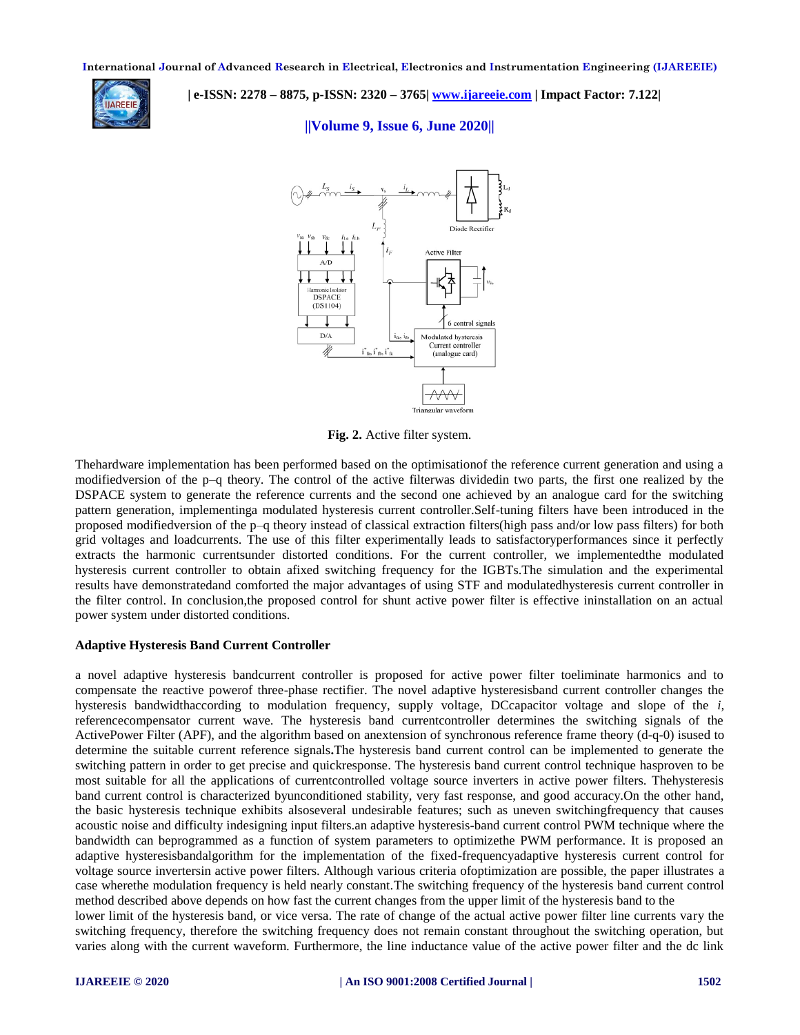

 **| e-ISSN: 2278 – 8875, p-ISSN: 2320 – 3765| [www.ijareeie.com](http://www.ijareeie.com/) | Impact Factor: 7.122|** 

# **||Volume 9, Issue 6, June 2020||**



**Fig. 2.** Active filter system.

Thehardware implementation has been performed based on the optimisationof the reference current generation and using a modifiedversion of the p–q theory. The control of the active filterwas dividedin two parts, the first one realized by the DSPACE system to generate the reference currents and the second one achieved by an analogue card for the switching pattern generation, implementinga modulated hysteresis current controller.Self-tuning filters have been introduced in the proposed modifiedversion of the p–q theory instead of classical extraction filters(high pass and/or low pass filters) for both grid voltages and loadcurrents. The use of this filter experimentally leads to satisfactoryperformances since it perfectly extracts the harmonic currentsunder distorted conditions. For the current controller, we implementedthe modulated hysteresis current controller to obtain afixed switching frequency for the IGBTs.The simulation and the experimental results have demonstratedand comforted the major advantages of using STF and modulatedhysteresis current controller in the filter control. In conclusion,the proposed control for shunt active power filter is effective ininstallation on an actual power system under distorted conditions.

# **Adaptive Hysteresis Band Current Controller**

a novel adaptive hysteresis bandcurrent controller is proposed for active power filter toeliminate harmonics and to compensate the reactive powerof three-phase rectifier. The novel adaptive hysteresisband current controller changes the hysteresis bandwidthaccording to modulation frequency, supply voltage, DCcapacitor voltage and slope of the *i,*  referencecompensator current wave. The hysteresis band currentcontroller determines the switching signals of the ActivePower Filter (APF), and the algorithm based on anextension of synchronous reference frame theory (d-q-0) isused to determine the suitable current reference signals**.**The hysteresis band current control can be implemented to generate the switching pattern in order to get precise and quickresponse. The hysteresis band current control technique hasproven to be most suitable for all the applications of currentcontrolled voltage source inverters in active power filters. Thehysteresis band current control is characterized byunconditioned stability, very fast response, and good accuracy.On the other hand, the basic hysteresis technique exhibits alsoseveral undesirable features; such as uneven switchingfrequency that causes acoustic noise and difficulty indesigning input filters.an adaptive hysteresis-band current control PWM technique where the bandwidth can beprogrammed as a function of system parameters to optimizethe PWM performance. It is proposed an adaptive hysteresisbandalgorithm for the implementation of the fixed-frequencyadaptive hysteresis current control for voltage source invertersin active power filters. Although various criteria ofoptimization are possible, the paper illustrates a case wherethe modulation frequency is held nearly constant.The switching frequency of the hysteresis band current control method described above depends on how fast the current changes from the upper limit of the hysteresis band to the

lower limit of the hysteresis band, or vice versa. The rate of change of the actual active power filter line currents vary the switching frequency, therefore the switching frequency does not remain constant throughout the switching operation, but varies along with the current waveform. Furthermore, the line inductance value of the active power filter and the dc link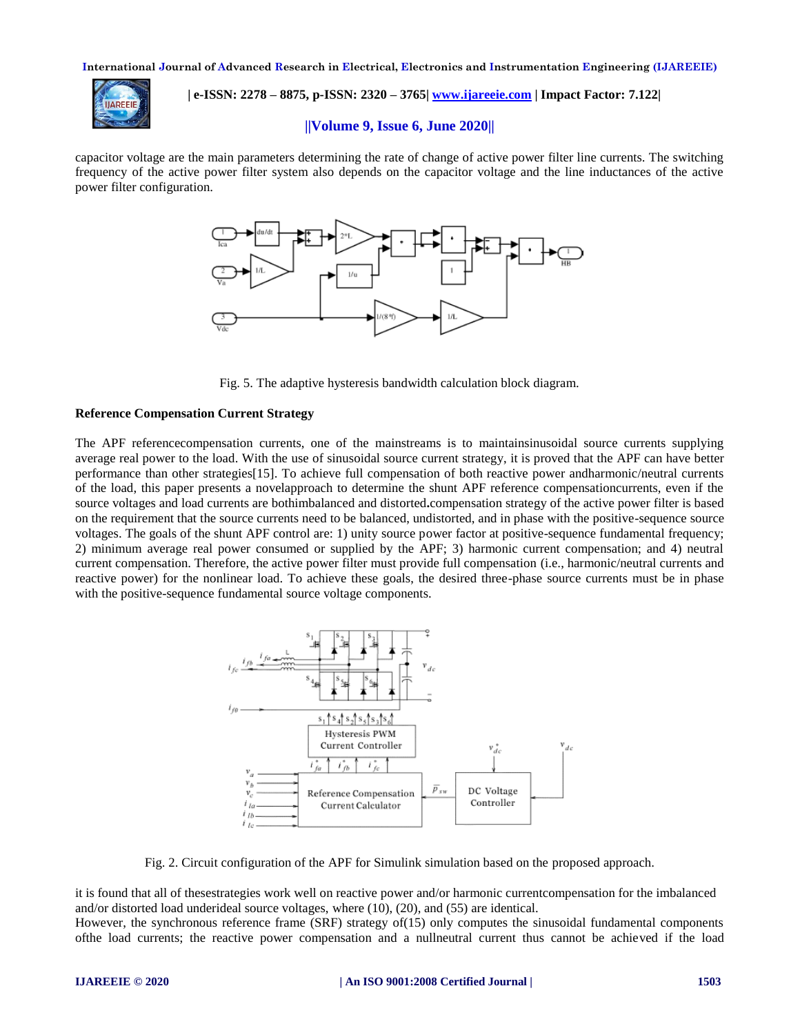

 **| e-ISSN: 2278 – 8875, p-ISSN: 2320 – 3765| [www.ijareeie.com](http://www.ijareeie.com/) | Impact Factor: 7.122|** 

## **||Volume 9, Issue 6, June 2020||**

capacitor voltage are the main parameters determining the rate of change of active power filter line currents. The switching frequency of the active power filter system also depends on the capacitor voltage and the line inductances of the active power filter configuration.



Fig. 5. The adaptive hysteresis bandwidth calculation block diagram.

## **Reference Compensation Current Strategy**

The APF referencecompensation currents, one of the mainstreams is to maintainsinusoidal source currents supplying average real power to the load. With the use of sinusoidal source current strategy, it is proved that the APF can have better performance than other strategies[15]. To achieve full compensation of both reactive power andharmonic/neutral currents of the load, this paper presents a novelapproach to determine the shunt APF reference compensationcurrents, even if the source voltages and load currents are bothimbalanced and distorted**.**compensation strategy of the active power filter is based on the requirement that the source currents need to be balanced, undistorted, and in phase with the positive-sequence source voltages. The goals of the shunt APF control are: 1) unity source power factor at positive-sequence fundamental frequency; 2) minimum average real power consumed or supplied by the APF; 3) harmonic current compensation; and 4) neutral current compensation. Therefore, the active power filter must provide full compensation (i.e., harmonic/neutral currents and reactive power) for the nonlinear load. To achieve these goals, the desired three-phase source currents must be in phase with the positive-sequence fundamental source voltage components.



Fig. 2. Circuit configuration of the APF for Simulink simulation based on the proposed approach.

it is found that all of thesestrategies work well on reactive power and/or harmonic currentcompensation for the imbalanced and/or distorted load underideal source voltages, where (10), (20), and (55) are identical.

However, the synchronous reference frame (SRF) strategy of (15) only computes the sinusoidal fundamental components ofthe load currents; the reactive power compensation and a nullneutral current thus cannot be achieved if the load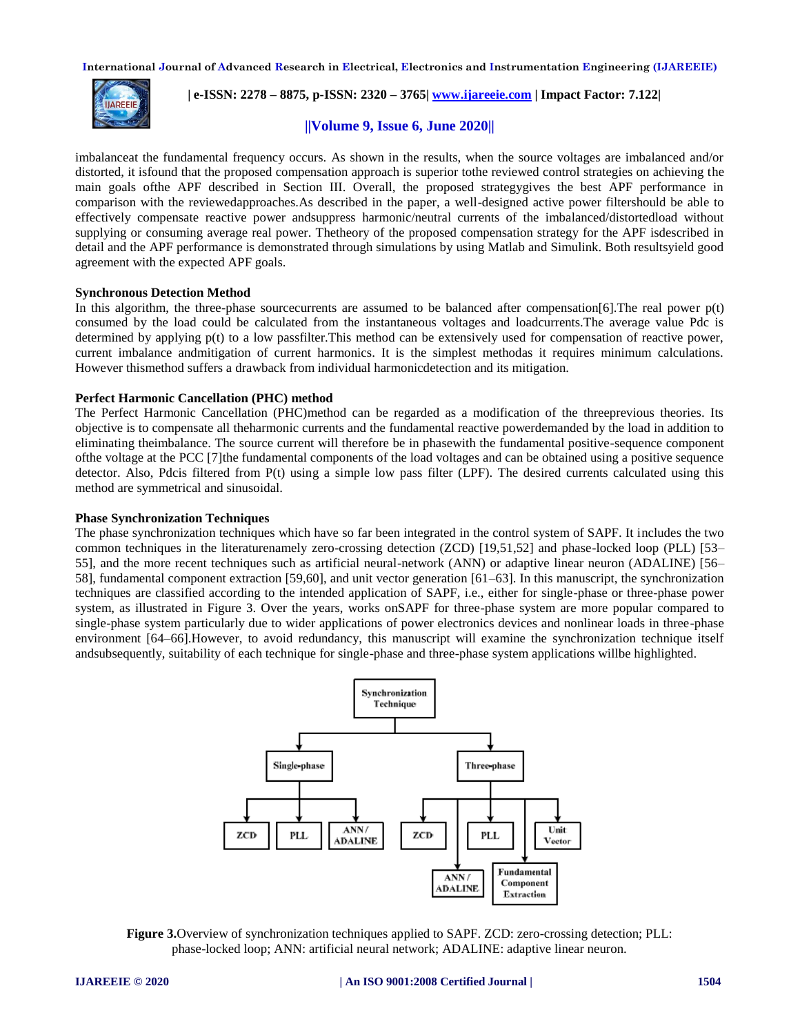

 **| e-ISSN: 2278 – 8875, p-ISSN: 2320 – 3765| [www.ijareeie.com](http://www.ijareeie.com/) | Impact Factor: 7.122|** 

# **||Volume 9, Issue 6, June 2020||**

imbalanceat the fundamental frequency occurs. As shown in the results, when the source voltages are imbalanced and/or distorted, it isfound that the proposed compensation approach is superior tothe reviewed control strategies on achieving the main goals ofthe APF described in Section III. Overall, the proposed strategygives the best APF performance in comparison with the reviewedapproaches.As described in the paper, a well-designed active power filtershould be able to effectively compensate reactive power andsuppress harmonic/neutral currents of the imbalanced/distortedload without supplying or consuming average real power. Thetheory of the proposed compensation strategy for the APF isdescribed in detail and the APF performance is demonstrated through simulations by using Matlab and Simulink. Both resultsyield good agreement with the expected APF goals.

## **Synchronous Detection Method**

In this algorithm, the three-phase sourcecurrents are assumed to be balanced after compensation[6].The real power p(t) consumed by the load could be calculated from the instantaneous voltages and loadcurrents.The average value Pdc is determined by applying p(t) to a low passfilter.This method can be extensively used for compensation of reactive power, current imbalance andmitigation of current harmonics. It is the simplest methodas it requires minimum calculations. However thismethod suffers a drawback from individual harmonicdetection and its mitigation.

## **Perfect Harmonic Cancellation (PHC) method**

The Perfect Harmonic Cancellation (PHC)method can be regarded as a modification of the threeprevious theories. Its objective is to compensate all theharmonic currents and the fundamental reactive powerdemanded by the load in addition to eliminating theimbalance. The source current will therefore be in phasewith the fundamental positive-sequence component ofthe voltage at the PCC [7]the fundamental components of the load voltages and can be obtained using a positive sequence detector. Also, Pdcis filtered from P(t) using a simple low pass filter (LPF). The desired currents calculated using this method are symmetrical and sinusoidal.

#### **Phase Synchronization Techniques**

The phase synchronization techniques which have so far been integrated in the control system of SAPF. It includes the two common techniques in the literaturenamely zero-crossing detection (ZCD) [19,51,52] and phase-locked loop (PLL) [53– 55], and the more recent techniques such as artificial neural-network (ANN) or adaptive linear neuron (ADALINE) [56– 58], fundamental component extraction [59,60], and unit vector generation [61–63]. In this manuscript, the synchronization techniques are classified according to the intended application of SAPF, i.e., either for single-phase or three-phase power system, as illustrated in Figure 3. Over the years, works onSAPF for three-phase system are more popular compared to single-phase system particularly due to wider applications of power electronics devices and nonlinear loads in three-phase environment [64–66].However, to avoid redundancy, this manuscript will examine the synchronization technique itself andsubsequently, suitability of each technique for single-phase and three-phase system applications willbe highlighted.



**Figure 3.**Overview of synchronization techniques applied to SAPF. ZCD: zero-crossing detection; PLL: phase-locked loop; ANN: artificial neural network; ADALINE: adaptive linear neuron.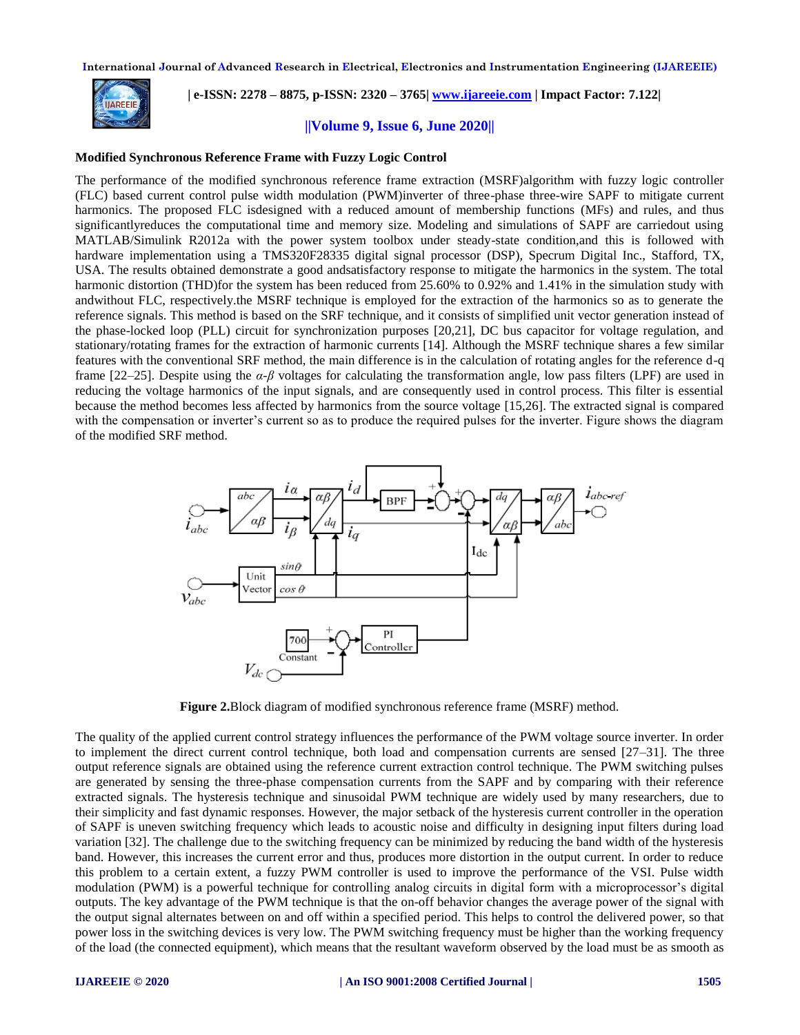

 **| e-ISSN: 2278 – 8875, p-ISSN: 2320 – 3765| [www.ijareeie.com](http://www.ijareeie.com/) | Impact Factor: 7.122|** 

**||Volume 9, Issue 6, June 2020||**

## **Modified Synchronous Reference Frame with Fuzzy Logic Control**

The performance of the modified synchronous reference frame extraction (MSRF)algorithm with fuzzy logic controller (FLC) based current control pulse width modulation (PWM)inverter of three-phase three-wire SAPF to mitigate current harmonics. The proposed FLC isdesigned with a reduced amount of membership functions (MFs) and rules, and thus significantlyreduces the computational time and memory size. Modeling and simulations of SAPF are carriedout using MATLAB/Simulink R2012a with the power system toolbox under steady-state condition,and this is followed with hardware implementation using a TMS320F28335 digital signal processor (DSP), Specrum Digital Inc., Stafford, TX, USA. The results obtained demonstrate a good andsatisfactory response to mitigate the harmonics in the system. The total harmonic distortion (THD)for the system has been reduced from 25.60% to 0.92% and 1.41% in the simulation study with andwithout FLC, respectively.the MSRF technique is employed for the extraction of the harmonics so as to generate the reference signals. This method is based on the SRF technique, and it consists of simplified unit vector generation instead of the phase-locked loop (PLL) circuit for synchronization purposes [20,21], DC bus capacitor for voltage regulation, and stationary/rotating frames for the extraction of harmonic currents [14]. Although the MSRF technique shares a few similar features with the conventional SRF method, the main difference is in the calculation of rotating angles for the reference d-q frame [22–25]. Despite using the *α-β* voltages for calculating the transformation angle, low pass filters (LPF) are used in reducing the voltage harmonics of the input signals, and are consequently used in control process. This filter is essential because the method becomes less affected by harmonics from the source voltage [15,26]. The extracted signal is compared with the compensation or inverter's current so as to produce the required pulses for the inverter. Figure shows the diagram of the modified SRF method.



**Figure 2.**Block diagram of modified synchronous reference frame (MSRF) method.

The quality of the applied current control strategy influences the performance of the PWM voltage source inverter. In order to implement the direct current control technique, both load and compensation currents are sensed [27–31]. The three output reference signals are obtained using the reference current extraction control technique. The PWM switching pulses are generated by sensing the three-phase compensation currents from the SAPF and by comparing with their reference extracted signals. The hysteresis technique and sinusoidal PWM technique are widely used by many researchers, due to their simplicity and fast dynamic responses. However, the major setback of the hysteresis current controller in the operation of SAPF is uneven switching frequency which leads to acoustic noise and difficulty in designing input filters during load variation [32]. The challenge due to the switching frequency can be minimized by reducing the band width of the hysteresis band. However, this increases the current error and thus, produces more distortion in the output current. In order to reduce this problem to a certain extent, a fuzzy PWM controller is used to improve the performance of the VSI. Pulse width modulation (PWM) is a powerful technique for controlling analog circuits in digital form with a microprocessor's digital outputs. The key advantage of the PWM technique is that the on-off behavior changes the average power of the signal with the output signal alternates between on and off within a specified period. This helps to control the delivered power, so that power loss in the switching devices is very low. The PWM switching frequency must be higher than the working frequency of the load (the connected equipment), which means that the resultant waveform observed by the load must be as smooth as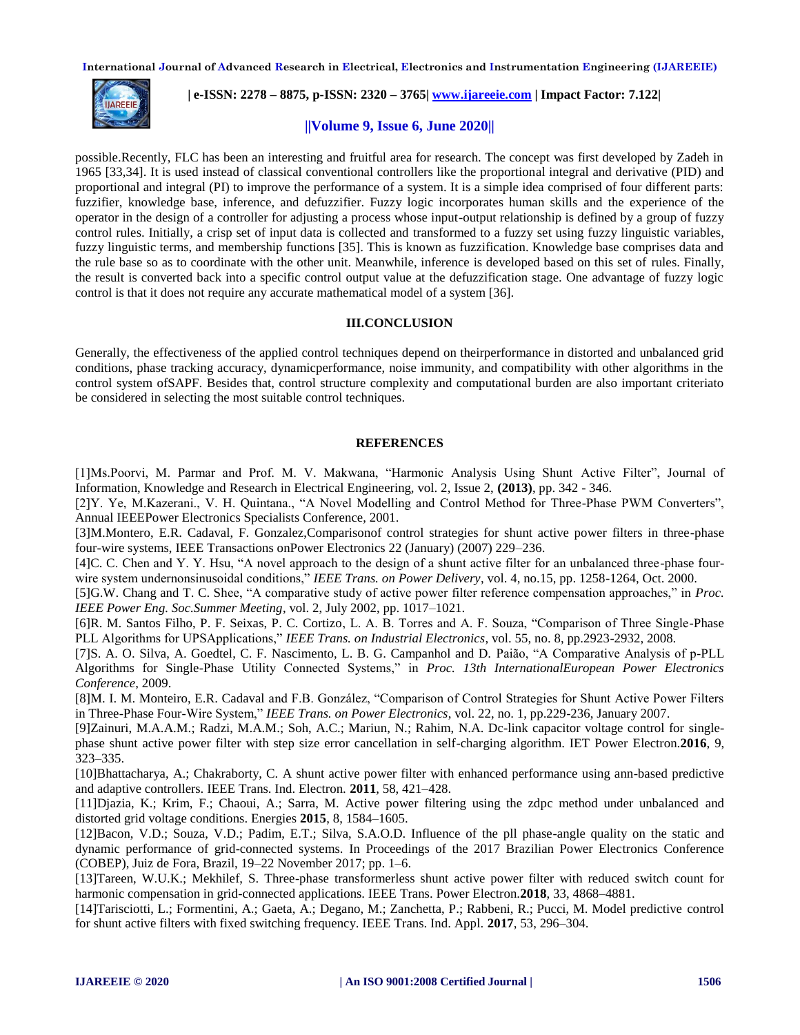

 **| e-ISSN: 2278 – 8875, p-ISSN: 2320 – 3765| [www.ijareeie.com](http://www.ijareeie.com/) | Impact Factor: 7.122|** 

# **||Volume 9, Issue 6, June 2020||**

possible.Recently, FLC has been an interesting and fruitful area for research. The concept was first developed by Zadeh in 1965 [33,34]. It is used instead of classical conventional controllers like the proportional integral and derivative (PID) and proportional and integral (PI) to improve the performance of a system. It is a simple idea comprised of four different parts: fuzzifier, knowledge base, inference, and defuzzifier. Fuzzy logic incorporates human skills and the experience of the operator in the design of a controller for adjusting a process whose input-output relationship is defined by a group of fuzzy control rules. Initially, a crisp set of input data is collected and transformed to a fuzzy set using fuzzy linguistic variables, fuzzy linguistic terms, and membership functions [35]. This is known as fuzzification. Knowledge base comprises data and the rule base so as to coordinate with the other unit. Meanwhile, inference is developed based on this set of rules. Finally, the result is converted back into a specific control output value at the defuzzification stage. One advantage of fuzzy logic control is that it does not require any accurate mathematical model of a system [36].

## **III.CONCLUSION**

Generally, the effectiveness of the applied control techniques depend on theirperformance in distorted and unbalanced grid conditions, phase tracking accuracy, dynamicperformance, noise immunity, and compatibility with other algorithms in the control system ofSAPF. Besides that, control structure complexity and computational burden are also important criteriato be considered in selecting the most suitable control techniques.

## **REFERENCES**

[1]Ms.Poorvi, M. Parmar and Prof. M. V. Makwana, "Harmonic Analysis Using Shunt Active Filter", Journal of Information, Knowledge and Research in Electrical Engineering, vol. 2, Issue 2, **(2013)**, pp. 342 - 346.

[2]Y. Ye, M.Kazerani., V. H. Quintana., "A Novel Modelling and Control Method for Three-Phase PWM Converters", Annual IEEEPower Electronics Specialists Conference, 2001.

[3]M.Montero, E.R. Cadaval, F. Gonzalez,Comparisonof control strategies for shunt active power filters in three-phase four-wire systems, IEEE Transactions onPower Electronics 22 (January) (2007) 229–236.

[4]C. C. Chen and Y. Y. Hsu, "A novel approach to the design of a shunt active filter for an unbalanced three-phase fourwire system undernonsinusoidal conditions," *IEEE Trans. on Power Delivery*, vol. 4, no.15, pp. 1258-1264, Oct. 2000.

[5]G.W. Chang and T. C. Shee, "A comparative study of active power filter reference compensation approaches," in *Proc. IEEE Power Eng. Soc.Summer Meeting*, vol. 2, July 2002, pp. 1017–1021.

[6]R. M. Santos Filho, P. F. Seixas, P. C. Cortizo, L. A. B. Torres and A. F. Souza, "Comparison of Three Single-Phase PLL Algorithms for UPSApplications," *IEEE Trans. on Industrial Electronics*, vol. 55, no. 8, pp.2923-2932, 2008.

[7]S. A. O. Silva, A. Goedtel, C. F. Nascimento, L. B. G. Campanhol and D. Paião, "A Comparative Analysis of p-PLL Algorithms for Single-Phase Utility Connected Systems," in *Proc. 13th InternationalEuropean Power Electronics Conference*, 2009.

[8]M. I. M. Monteiro, E.R. Cadaval and F.B. González, "Comparison of Control Strategies for Shunt Active Power Filters in Three-Phase Four-Wire System," *IEEE Trans. on Power Electronics*, vol. 22, no. 1, pp.229-236, January 2007.

[9]Zainuri, M.A.A.M.; Radzi, M.A.M.; Soh, A.C.; Mariun, N.; Rahim, N.A. Dc-link capacitor voltage control for singlephase shunt active power filter with step size error cancellation in self-charging algorithm. IET Power Electron.**2016**, 9, 323–335.

[10]Bhattacharya, A.; Chakraborty, C. A shunt active power filter with enhanced performance using ann-based predictive and adaptive controllers. IEEE Trans. Ind. Electron. **2011**, 58, 421–428.

[11]Djazia, K.; Krim, F.; Chaoui, A.; Sarra, M. Active power filtering using the zdpc method under unbalanced and distorted grid voltage conditions. Energies **2015**, 8, 1584–1605.

[12]Bacon, V.D.; Souza, V.D.; Padim, E.T.; Silva, S.A.O.D. Influence of the pll phase-angle quality on the static and dynamic performance of grid-connected systems. In Proceedings of the 2017 Brazilian Power Electronics Conference (COBEP), Juiz de Fora, Brazil, 19–22 November 2017; pp. 1–6.

[13]Tareen, W.U.K.; Mekhilef, S. Three-phase transformerless shunt active power filter with reduced switch count for harmonic compensation in grid-connected applications. IEEE Trans. Power Electron.**2018**, 33, 4868–4881.

[14]Tarisciotti, L.; Formentini, A.; Gaeta, A.; Degano, M.; Zanchetta, P.; Rabbeni, R.; Pucci, M. Model predictive control for shunt active filters with fixed switching frequency. IEEE Trans. Ind. Appl. **2017**, 53, 296–304.